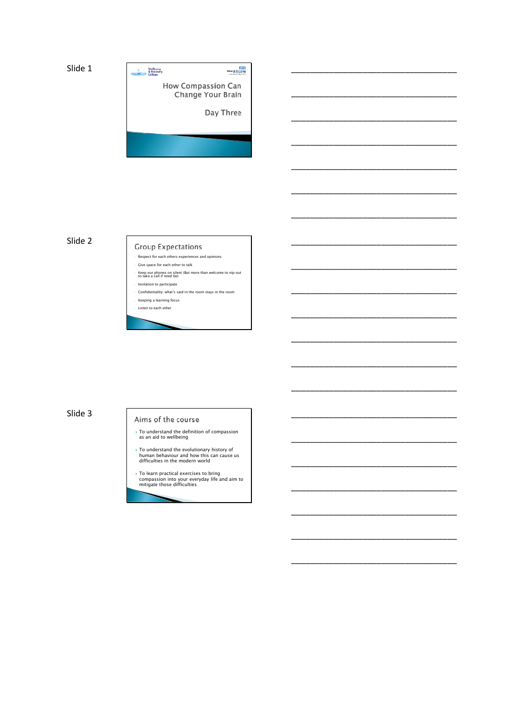

\_\_\_\_\_\_\_\_\_\_\_\_\_\_\_\_\_\_\_\_\_\_\_\_\_\_\_\_\_\_\_\_\_\_\_

\_\_\_\_\_\_\_\_\_\_\_\_\_\_\_\_\_\_\_\_\_\_\_\_\_\_\_\_\_\_\_\_\_\_\_

\_\_\_\_\_\_\_\_\_\_\_\_\_\_\_\_\_\_\_\_\_\_\_\_\_\_\_\_\_\_\_\_\_\_\_

\_\_\_\_\_\_\_\_\_\_\_\_\_\_\_\_\_\_\_\_\_\_\_\_\_\_\_\_\_\_\_\_\_\_\_

\_\_\_\_\_\_\_\_\_\_\_\_\_\_\_\_\_\_\_\_\_\_\_\_\_\_\_\_\_\_\_\_\_\_\_

\_\_\_\_\_\_\_\_\_\_\_\_\_\_\_\_\_\_\_\_\_\_\_\_\_\_\_\_\_\_\_\_\_\_\_

\_\_\_\_\_\_\_\_\_\_\_\_\_\_\_\_\_\_\_\_\_\_\_\_\_\_\_\_\_\_\_\_\_\_\_

\_\_\_\_\_\_\_\_\_\_\_\_\_\_\_\_\_\_\_\_\_\_\_\_\_\_\_\_\_\_\_\_\_\_\_

\_\_\_\_\_\_\_\_\_\_\_\_\_\_\_\_\_\_\_\_\_\_\_\_\_\_\_\_\_\_\_\_\_\_\_

\_\_\_\_\_\_\_\_\_\_\_\_\_\_\_\_\_\_\_\_\_\_\_\_\_\_\_\_\_\_\_\_\_\_\_

\_\_\_\_\_\_\_\_\_\_\_\_\_\_\_\_\_\_\_\_\_\_\_\_\_\_\_\_\_\_\_\_\_\_\_

\_\_\_\_\_\_\_\_\_\_\_\_\_\_\_\_\_\_\_\_\_\_\_\_\_\_\_\_\_\_\_\_\_\_\_

\_\_\_\_\_\_\_\_\_\_\_\_\_\_\_\_\_\_\_\_\_\_\_\_\_\_\_\_\_\_\_\_\_\_\_

\_\_\_\_\_\_\_\_\_\_\_\_\_\_\_\_\_\_\_\_\_\_\_\_\_\_\_\_\_\_\_\_\_\_\_

\_\_\_\_\_\_\_\_\_\_\_\_\_\_\_\_\_\_\_\_\_\_\_\_\_\_\_\_\_\_\_\_\_\_\_

\_\_\_\_\_\_\_\_\_\_\_\_\_\_\_\_\_\_\_\_\_\_\_\_\_\_\_\_\_\_\_\_\_\_\_

\_\_\_\_\_\_\_\_\_\_\_\_\_\_\_\_\_\_\_\_\_\_\_\_\_\_\_\_\_\_\_\_\_\_\_

\_\_\_\_\_\_\_\_\_\_\_\_\_\_\_\_\_\_\_\_\_\_\_\_\_\_\_\_\_\_\_\_\_\_\_

\_\_\_\_\_\_\_\_\_\_\_\_\_\_\_\_\_\_\_\_\_\_\_\_\_\_\_\_\_\_\_\_\_\_\_

\_\_\_\_\_\_\_\_\_\_\_\_\_\_\_\_\_\_\_\_\_\_\_\_\_\_\_\_\_\_\_\_\_\_\_

## Slide 2

### **Group Expectations** Respect for each others experiences and opinions

- Give space for each other to talk
- Keep our phones on silent (But more than welcome to nip out to take a call if need be)
- Invitation to participate
- Confidentiality: what's said in the room stays in the room
- Keeping a learning focus Listen to each other
- 

## Slide 3

### Aims of the course

- To understand the definition of compassion as an aid to wellbeing
- $\triangleright$  To understand the evolutionary history of<br>human behaviour and how this can cause us<br>difficulties in the modern world
- To learn practical exercises to bring compassion into your everyday life and aim to mitigate those difficulties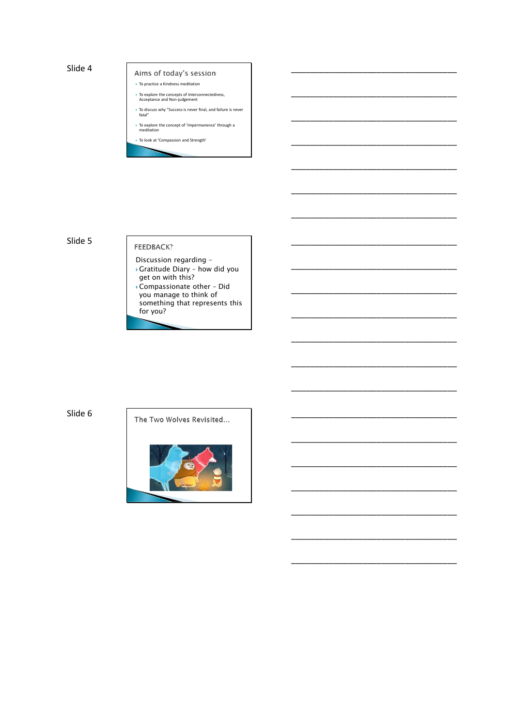### Aims of today's session

- To practice a Kindness meditation
- To explore the concepts of Interconnectedness, Acceptance and Non-judgement
- To discuss why "Success is never final, and failure is never fatal"

\_\_\_\_\_\_\_\_\_\_\_\_\_\_\_\_\_\_\_\_\_\_\_\_\_\_\_\_\_\_\_\_\_\_\_

\_\_\_\_\_\_\_\_\_\_\_\_\_\_\_\_\_\_\_\_\_\_\_\_\_\_\_\_\_\_\_\_\_\_\_

\_\_\_\_\_\_\_\_\_\_\_\_\_\_\_\_\_\_\_\_\_\_\_\_\_\_\_\_\_\_\_\_\_\_\_

\_\_\_\_\_\_\_\_\_\_\_\_\_\_\_\_\_\_\_\_\_\_\_\_\_\_\_\_\_\_\_\_\_\_\_

\_\_\_\_\_\_\_\_\_\_\_\_\_\_\_\_\_\_\_\_\_\_\_\_\_\_\_\_\_\_\_\_\_\_\_

\_\_\_\_\_\_\_\_\_\_\_\_\_\_\_\_\_\_\_\_\_\_\_\_\_\_\_\_\_\_\_\_\_\_\_

\_\_\_\_\_\_\_\_\_\_\_\_\_\_\_\_\_\_\_\_\_\_\_\_\_\_\_\_\_\_\_\_\_\_\_

\_\_\_\_\_\_\_\_\_\_\_\_\_\_\_\_\_\_\_\_\_\_\_\_\_\_\_\_\_\_\_\_\_\_\_

\_\_\_\_\_\_\_\_\_\_\_\_\_\_\_\_\_\_\_\_\_\_\_\_\_\_\_\_\_\_\_\_\_\_\_

\_\_\_\_\_\_\_\_\_\_\_\_\_\_\_\_\_\_\_\_\_\_\_\_\_\_\_\_\_\_\_\_\_\_\_

\_\_\_\_\_\_\_\_\_\_\_\_\_\_\_\_\_\_\_\_\_\_\_\_\_\_\_\_\_\_\_\_\_\_\_

\_\_\_\_\_\_\_\_\_\_\_\_\_\_\_\_\_\_\_\_\_\_\_\_\_\_\_\_\_\_\_\_\_\_\_

\_\_\_\_\_\_\_\_\_\_\_\_\_\_\_\_\_\_\_\_\_\_\_\_\_\_\_\_\_\_\_\_\_\_\_

\_\_\_\_\_\_\_\_\_\_\_\_\_\_\_\_\_\_\_\_\_\_\_\_\_\_\_\_\_\_\_\_\_\_\_

\_\_\_\_\_\_\_\_\_\_\_\_\_\_\_\_\_\_\_\_\_\_\_\_\_\_\_\_\_\_\_\_\_\_\_

\_\_\_\_\_\_\_\_\_\_\_\_\_\_\_\_\_\_\_\_\_\_\_\_\_\_\_\_\_\_\_\_\_\_\_

\_\_\_\_\_\_\_\_\_\_\_\_\_\_\_\_\_\_\_\_\_\_\_\_\_\_\_\_\_\_\_\_\_\_\_

\_\_\_\_\_\_\_\_\_\_\_\_\_\_\_\_\_\_\_\_\_\_\_\_\_\_\_\_\_\_\_\_\_\_\_

\_\_\_\_\_\_\_\_\_\_\_\_\_\_\_\_\_\_\_\_\_\_\_\_\_\_\_\_\_\_\_\_\_\_\_

\_\_\_\_\_\_\_\_\_\_\_\_\_\_\_\_\_\_\_\_\_\_\_\_\_\_\_\_\_\_\_\_\_\_\_

To explore the concept of 'Impermanence' through a meditation

To look at 'Compassion and Strength'

## Slide 5

### FEEDBACK?

- Discussion regarding Gratitude Diary – how did you get on with this?
- Compassionate other Did you manage to think of something that represents this for you?

Slide 6 The Two Wolves Revisited...

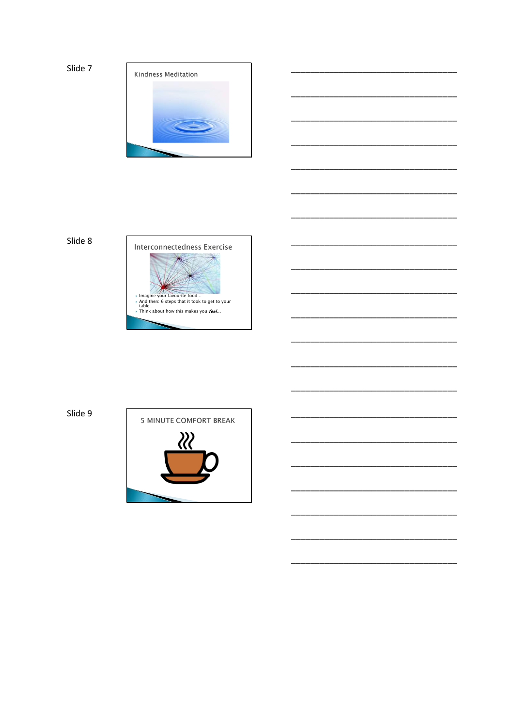

Slide 8



Slide 9

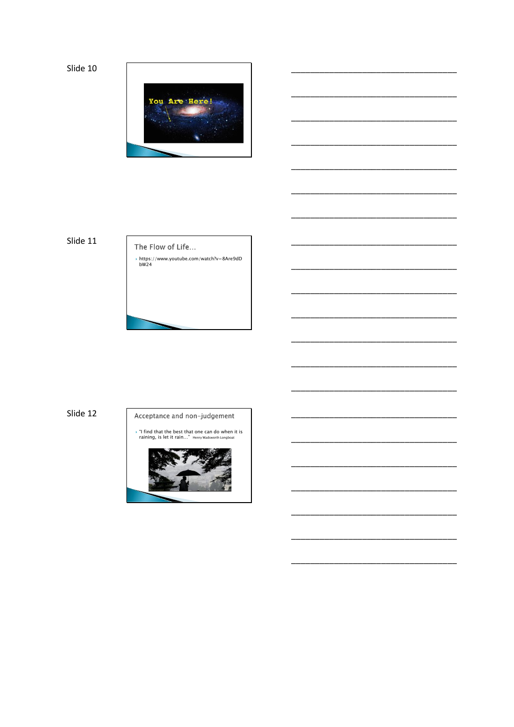

Slide 11



Acceptance and non-judgement

Film find that the best that one can do when it is<br>raining, is let it rain..." Henry Wadsworth Longboat

Slide 12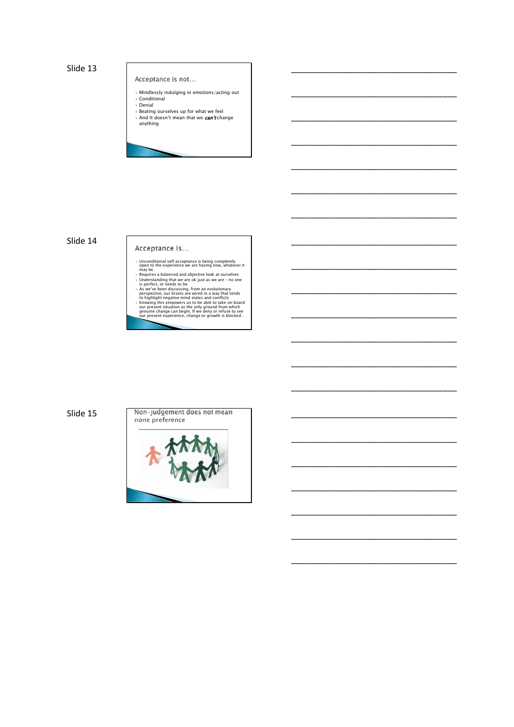Acceptance is not...

 Mindlessly indulging in emotions/acting out Conditional Denial

\_\_\_\_\_\_\_\_\_\_\_\_\_\_\_\_\_\_\_\_\_\_\_\_\_\_\_\_\_\_\_\_\_\_\_

\_\_\_\_\_\_\_\_\_\_\_\_\_\_\_\_\_\_\_\_\_\_\_\_\_\_\_\_\_\_\_\_\_\_\_

\_\_\_\_\_\_\_\_\_\_\_\_\_\_\_\_\_\_\_\_\_\_\_\_\_\_\_\_\_\_\_\_\_\_\_

\_\_\_\_\_\_\_\_\_\_\_\_\_\_\_\_\_\_\_\_\_\_\_\_\_\_\_\_\_\_\_\_\_\_\_

\_\_\_\_\_\_\_\_\_\_\_\_\_\_\_\_\_\_\_\_\_\_\_\_\_\_\_\_\_\_\_\_\_\_\_

\_\_\_\_\_\_\_\_\_\_\_\_\_\_\_\_\_\_\_\_\_\_\_\_\_\_\_\_\_\_\_\_\_\_\_

\_\_\_\_\_\_\_\_\_\_\_\_\_\_\_\_\_\_\_\_\_\_\_\_\_\_\_\_\_\_\_\_\_\_\_

\_\_\_\_\_\_\_\_\_\_\_\_\_\_\_\_\_\_\_\_\_\_\_\_\_\_\_\_\_\_\_\_\_\_\_

\_\_\_\_\_\_\_\_\_\_\_\_\_\_\_\_\_\_\_\_\_\_\_\_\_\_\_\_\_\_\_\_\_\_\_

\_\_\_\_\_\_\_\_\_\_\_\_\_\_\_\_\_\_\_\_\_\_\_\_\_\_\_\_\_\_\_\_\_\_\_

\_\_\_\_\_\_\_\_\_\_\_\_\_\_\_\_\_\_\_\_\_\_\_\_\_\_\_\_\_\_\_\_\_\_\_

\_\_\_\_\_\_\_\_\_\_\_\_\_\_\_\_\_\_\_\_\_\_\_\_\_\_\_\_\_\_\_\_\_\_\_

\_\_\_\_\_\_\_\_\_\_\_\_\_\_\_\_\_\_\_\_\_\_\_\_\_\_\_\_\_\_\_\_\_\_\_

\_\_\_\_\_\_\_\_\_\_\_\_\_\_\_\_\_\_\_\_\_\_\_\_\_\_\_\_\_\_\_\_\_\_\_

\_\_\_\_\_\_\_\_\_\_\_\_\_\_\_\_\_\_\_\_\_\_\_\_\_\_\_\_\_\_\_\_\_\_\_

\_\_\_\_\_\_\_\_\_\_\_\_\_\_\_\_\_\_\_\_\_\_\_\_\_\_\_\_\_\_\_\_\_\_\_

\_\_\_\_\_\_\_\_\_\_\_\_\_\_\_\_\_\_\_\_\_\_\_\_\_\_\_\_\_\_\_\_\_\_\_

\_\_\_\_\_\_\_\_\_\_\_\_\_\_\_\_\_\_\_\_\_\_\_\_\_\_\_\_\_\_\_\_\_\_\_

\_\_\_\_\_\_\_\_\_\_\_\_\_\_\_\_\_\_\_\_\_\_\_\_\_\_\_\_\_\_\_\_\_\_\_

\_\_\_\_\_\_\_\_\_\_\_\_\_\_\_\_\_\_\_\_\_\_\_\_\_\_\_\_\_\_\_\_\_\_\_

- 
- $\rightarrow$  Beating ourselves up for what we feel ▶ And It doesn't mean that we *can't* change<br>anything

# Slide 14

### Acceptance is...

- 
- 
- 
- Unconditional self acceptance is being completely<br>open to the experience we are having now, whatever it<br>may be<br> $\rho$ en to the experience we are having now, whatever it<br> $\rho$ <br> $R$  acquires a balanced and objective look at our
- 

Slide 15 **Non-judgement does not mean**<br>none preference

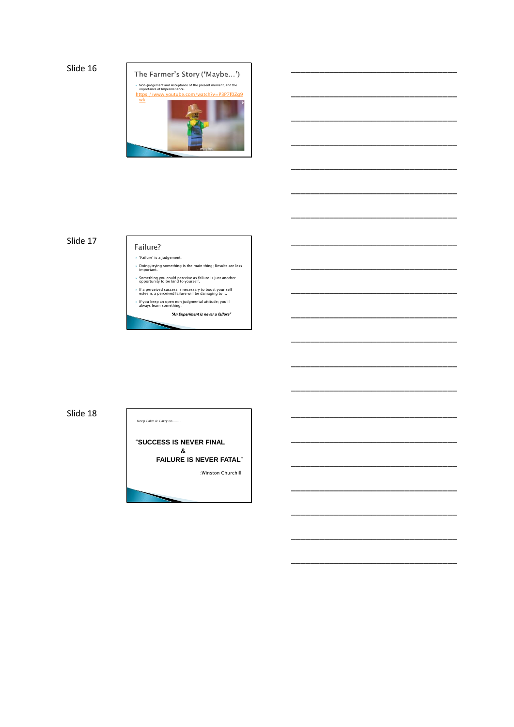

\_\_\_\_\_\_\_\_\_\_\_\_\_\_\_\_\_\_\_\_\_\_\_\_\_\_\_\_\_\_\_\_\_\_\_

\_\_\_\_\_\_\_\_\_\_\_\_\_\_\_\_\_\_\_\_\_\_\_\_\_\_\_\_\_\_\_\_\_\_\_

\_\_\_\_\_\_\_\_\_\_\_\_\_\_\_\_\_\_\_\_\_\_\_\_\_\_\_\_\_\_\_\_\_\_\_

\_\_\_\_\_\_\_\_\_\_\_\_\_\_\_\_\_\_\_\_\_\_\_\_\_\_\_\_\_\_\_\_\_\_\_

\_\_\_\_\_\_\_\_\_\_\_\_\_\_\_\_\_\_\_\_\_\_\_\_\_\_\_\_\_\_\_\_\_\_\_

\_\_\_\_\_\_\_\_\_\_\_\_\_\_\_\_\_\_\_\_\_\_\_\_\_\_\_\_\_\_\_\_\_\_\_

\_\_\_\_\_\_\_\_\_\_\_\_\_\_\_\_\_\_\_\_\_\_\_\_\_\_\_\_\_\_\_\_\_\_\_

\_\_\_\_\_\_\_\_\_\_\_\_\_\_\_\_\_\_\_\_\_\_\_\_\_\_\_\_\_\_\_\_\_\_\_

\_\_\_\_\_\_\_\_\_\_\_\_\_\_\_\_\_\_\_\_\_\_\_\_\_\_\_\_\_\_\_\_\_\_\_

\_\_\_\_\_\_\_\_\_\_\_\_\_\_\_\_\_\_\_\_\_\_\_\_\_\_\_\_\_\_\_\_\_\_\_

\_\_\_\_\_\_\_\_\_\_\_\_\_\_\_\_\_\_\_\_\_\_\_\_\_\_\_\_\_\_\_\_\_\_\_

\_\_\_\_\_\_\_\_\_\_\_\_\_\_\_\_\_\_\_\_\_\_\_\_\_\_\_\_\_\_\_\_\_\_\_

\_\_\_\_\_\_\_\_\_\_\_\_\_\_\_\_\_\_\_\_\_\_\_\_\_\_\_\_\_\_\_\_\_\_\_

\_\_\_\_\_\_\_\_\_\_\_\_\_\_\_\_\_\_\_\_\_\_\_\_\_\_\_\_\_\_\_\_\_\_\_

\_\_\_\_\_\_\_\_\_\_\_\_\_\_\_\_\_\_\_\_\_\_\_\_\_\_\_\_\_\_\_\_\_\_\_

\_\_\_\_\_\_\_\_\_\_\_\_\_\_\_\_\_\_\_\_\_\_\_\_\_\_\_\_\_\_\_\_\_\_\_

\_\_\_\_\_\_\_\_\_\_\_\_\_\_\_\_\_\_\_\_\_\_\_\_\_\_\_\_\_\_\_\_\_\_\_

\_\_\_\_\_\_\_\_\_\_\_\_\_\_\_\_\_\_\_\_\_\_\_\_\_\_\_\_\_\_\_\_\_\_\_

\_\_\_\_\_\_\_\_\_\_\_\_\_\_\_\_\_\_\_\_\_\_\_\_\_\_\_\_\_\_\_\_\_\_\_

\_\_\_\_\_\_\_\_\_\_\_\_\_\_\_\_\_\_\_\_\_\_\_\_\_\_\_\_\_\_\_\_\_\_\_

\_\_\_\_\_\_\_\_\_\_\_\_\_\_\_\_\_\_\_\_\_\_\_\_\_\_\_\_\_\_\_\_\_\_\_

## Slide 17

### Failure? 'Failure' is a judgement.

- Doing/trying something is the main thing; Results are less important.
- Something you could perceive as failure is just another opportunity to be kind to yourself.
- $\rightarrow$  If a perceived success is necessary to boost your self esteem; a perceived failure will be damaging to it.
- If you keep an open non judgmental attitude; you'll always learn something.

"An Experiment is never a failure"

# Slide 18

Keep Calm & Carry on ... ....

"**SUCCESS IS NEVER FINAL &**

**FAILURE IS NEVER FATAL**"

:Winston Churchill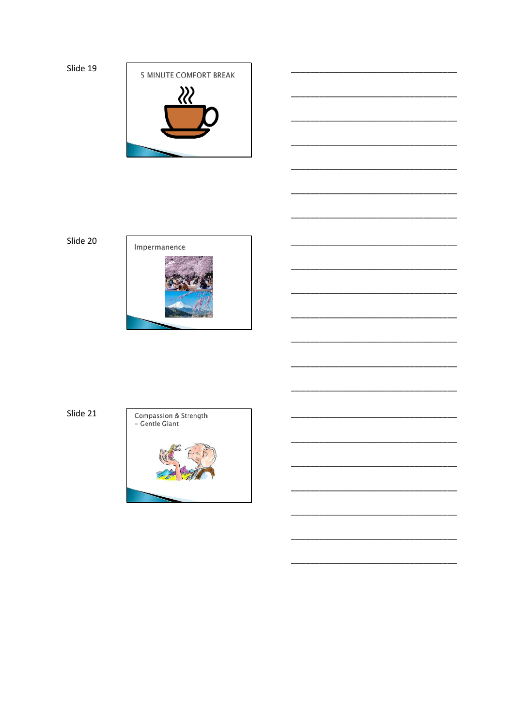

Slide 20



Slide 21

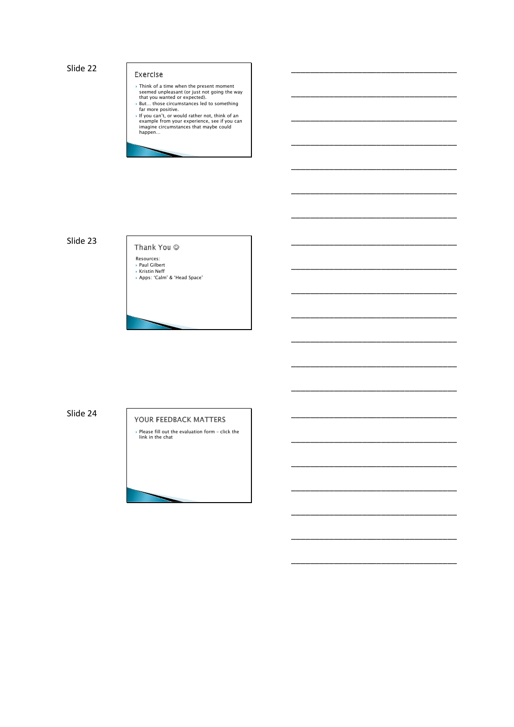### Exercise

Think of a time when the present moment seemed unpleasant (or just not going the way that you wanted or expected).

\_\_\_\_\_\_\_\_\_\_\_\_\_\_\_\_\_\_\_\_\_\_\_\_\_\_\_\_\_\_\_\_\_\_\_

\_\_\_\_\_\_\_\_\_\_\_\_\_\_\_\_\_\_\_\_\_\_\_\_\_\_\_\_\_\_\_\_\_\_\_

\_\_\_\_\_\_\_\_\_\_\_\_\_\_\_\_\_\_\_\_\_\_\_\_\_\_\_\_\_\_\_\_\_\_\_

\_\_\_\_\_\_\_\_\_\_\_\_\_\_\_\_\_\_\_\_\_\_\_\_\_\_\_\_\_\_\_\_\_\_\_

\_\_\_\_\_\_\_\_\_\_\_\_\_\_\_\_\_\_\_\_\_\_\_\_\_\_\_\_\_\_\_\_\_\_\_

\_\_\_\_\_\_\_\_\_\_\_\_\_\_\_\_\_\_\_\_\_\_\_\_\_\_\_\_\_\_\_\_\_\_\_

\_\_\_\_\_\_\_\_\_\_\_\_\_\_\_\_\_\_\_\_\_\_\_\_\_\_\_\_\_\_\_\_\_\_\_

\_\_\_\_\_\_\_\_\_\_\_\_\_\_\_\_\_\_\_\_\_\_\_\_\_\_\_\_\_\_\_\_\_\_\_

\_\_\_\_\_\_\_\_\_\_\_\_\_\_\_\_\_\_\_\_\_\_\_\_\_\_\_\_\_\_\_\_\_\_\_

\_\_\_\_\_\_\_\_\_\_\_\_\_\_\_\_\_\_\_\_\_\_\_\_\_\_\_\_\_\_\_\_\_\_\_

\_\_\_\_\_\_\_\_\_\_\_\_\_\_\_\_\_\_\_\_\_\_\_\_\_\_\_\_\_\_\_\_\_\_\_

\_\_\_\_\_\_\_\_\_\_\_\_\_\_\_\_\_\_\_\_\_\_\_\_\_\_\_\_\_\_\_\_\_\_\_

\_\_\_\_\_\_\_\_\_\_\_\_\_\_\_\_\_\_\_\_\_\_\_\_\_\_\_\_\_\_\_\_\_\_\_

\_\_\_\_\_\_\_\_\_\_\_\_\_\_\_\_\_\_\_\_\_\_\_\_\_\_\_\_\_\_\_\_\_\_\_

\_\_\_\_\_\_\_\_\_\_\_\_\_\_\_\_\_\_\_\_\_\_\_\_\_\_\_\_\_\_\_\_\_\_\_

\_\_\_\_\_\_\_\_\_\_\_\_\_\_\_\_\_\_\_\_\_\_\_\_\_\_\_\_\_\_\_\_\_\_\_

\_\_\_\_\_\_\_\_\_\_\_\_\_\_\_\_\_\_\_\_\_\_\_\_\_\_\_\_\_\_\_\_\_\_\_

\_\_\_\_\_\_\_\_\_\_\_\_\_\_\_\_\_\_\_\_\_\_\_\_\_\_\_\_\_\_\_\_\_\_\_

\_\_\_\_\_\_\_\_\_\_\_\_\_\_\_\_\_\_\_\_\_\_\_\_\_\_\_\_\_\_\_\_\_\_\_

\_\_\_\_\_\_\_\_\_\_\_\_\_\_\_\_\_\_\_\_\_\_\_\_\_\_\_\_\_\_\_\_\_\_\_

\_\_\_\_\_\_\_\_\_\_\_\_\_\_\_\_\_\_\_\_\_\_\_\_\_\_\_\_\_\_\_\_\_\_\_

- 
- But… those circumstances led to something far more positive. If you can't, or would rather not, think of an example from your experience, see if you can imagine circumstances that maybe could happen…

## Slide 23



## Slide 24

# YOUR FEEDBACK MATTERS

Please fill out the evaluation form – click the link in the chat